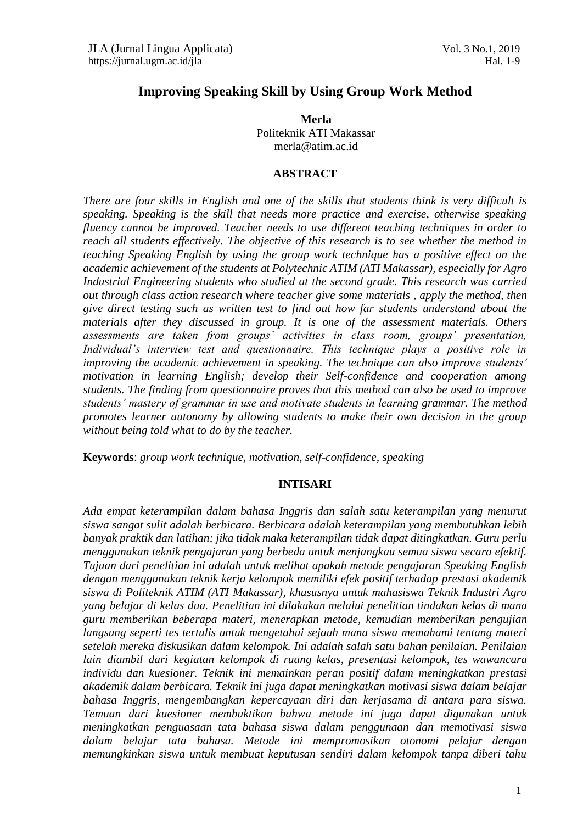# **Improving Speaking Skill by Using Group Work Method**

**Merla** Politeknik ATI Makassar [merla@atim.ac.id](mailto:merla@atim.ac.id)

#### **ABSTRACT**

*There are four skills in English and one of the skills that students think is very difficult is speaking. Speaking is the skill that needs more practice and exercise, otherwise speaking fluency cannot be improved. Teacher needs to use different teaching techniques in order to reach all students effectively. The objective of this research is to see whether the method in teaching Speaking English by using the group work technique has a positive effect on the academic achievement of the students at Polytechnic ATIM (ATI Makassar), especially for Agro Industrial Engineering students who studied at the second grade. This research was carried out through class action research where teacher give some materials , apply the method, then give direct testing such as written test to find out how far students understand about the materials after they discussed in group. It is one of the assessment materials. Others assessments are taken from groups' activities in class room, groups' presentation, Individual's interview test and questionnaire. This technique plays a positive role in improving the academic achievement in speaking. The technique can also improve students' motivation in learning English; develop their Self-confidence and cooperation among students. The finding from questionnaire proves that this method can also be used to improve students' mastery of grammar in use and motivate students in learning grammar. The method promotes learner autonomy by allowing students to make their own decision in the group without being told what to do by the teacher.*

**Keywords**: *group work technique, motivation, self-confidence, speaking*

#### **INTISARI**

*Ada empat keterampilan dalam bahasa Inggris dan salah satu keterampilan yang menurut siswa sangat sulit adalah berbicara. Berbicara adalah keterampilan yang membutuhkan lebih banyak praktik dan latihan; jika tidak maka keterampilan tidak dapat ditingkatkan. Guru perlu menggunakan teknik pengajaran yang berbeda untuk menjangkau semua siswa secara efektif. Tujuan dari penelitian ini adalah untuk melihat apakah metode pengajaran Speaking English dengan menggunakan teknik kerja kelompok memiliki efek positif terhadap prestasi akademik siswa di Politeknik ATIM (ATI Makassar), khususnya untuk mahasiswa Teknik Industri Agro yang belajar di kelas dua. Penelitian ini dilakukan melalui penelitian tindakan kelas di mana guru memberikan beberapa materi, menerapkan metode, kemudian memberikan pengujian langsung seperti tes tertulis untuk mengetahui sejauh mana siswa memahami tentang materi setelah mereka diskusikan dalam kelompok. Ini adalah salah satu bahan penilaian. Penilaian lain diambil dari kegiatan kelompok di ruang kelas, presentasi kelompok, tes wawancara individu dan kuesioner. Teknik ini memainkan peran positif dalam meningkatkan prestasi akademik dalam berbicara. Teknik ini juga dapat meningkatkan motivasi siswa dalam belajar bahasa Inggris, mengembangkan kepercayaan diri dan kerjasama di antara para siswa. Temuan dari kuesioner membuktikan bahwa metode ini juga dapat digunakan untuk meningkatkan penguasaan tata bahasa siswa dalam penggunaan dan memotivasi siswa dalam belajar tata bahasa. Metode ini mempromosikan otonomi pelajar dengan memungkinkan siswa untuk membuat keputusan sendiri dalam kelompok tanpa diberi tahu*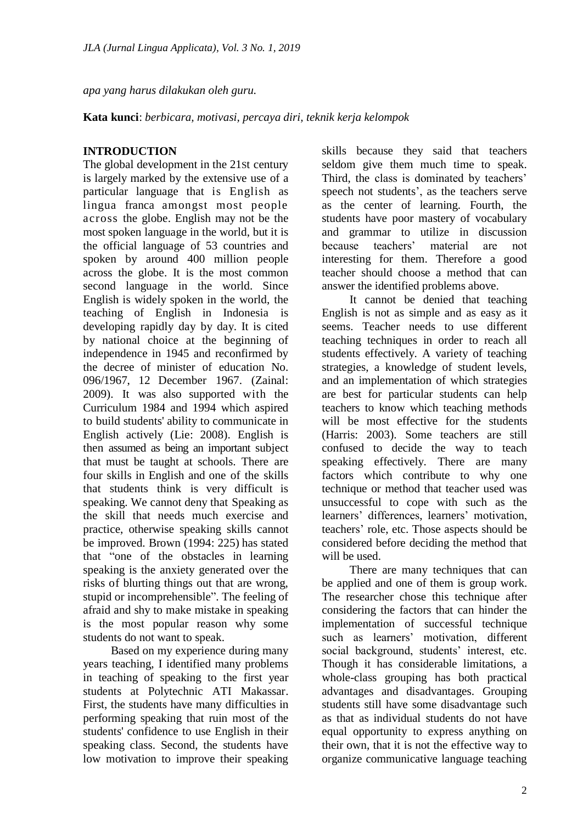*apa yang harus dilakukan oleh guru.*

**Kata kunci**: *berbicara, motivasi, percaya diri, teknik kerja kelompok*

# **INTRODUCTION**

The global development in the 21St century is largely marked by the extensive use of a particular language that is English as lingua franca amongst most people across the globe. English may not be the most spoken language in the world, but it is the official language of 53 countries and spoken by around 400 million people across the globe. It is the most common second language in the world. Since English is widely spoken in the world, the teaching of English in Indonesia is developing rapidly day by day. It is cited by national choice at the beginning of independence in 1945 and reconfirmed by the decree of minister of education No. 096/1967, 12 December 1967. (Zainal: 2009). It was also supported with the Curriculum 1984 and 1994 which aspired to build students' ability to communicate in English actively (Lie: 2008). English is then assumed as being an important subject that must be taught at schools. There are four skills in English and one of the skills that students think is very difficult is speaking. We cannot deny that Speaking as the skill that needs much exercise and practice, otherwise speaking skills cannot be improved. Brown (1994: 225) has stated that "one of the obstacles in learning speaking is the anxiety generated over the risks of blurting things out that are wrong, stupid or incomprehensible". The feeling of afraid and shy to make mistake in speaking is the most popular reason why some students do not want to speak.

Based on my experience during many years teaching, I identified many problems in teaching of speaking to the first year students at Polytechnic ATI Makassar. First, the students have many difficulties in performing speaking that ruin most of the students' confidence to use English in their speaking class. Second, the students have low motivation to improve their speaking skills because they said that teachers seldom give them much time to speak. Third, the class is dominated by teachers' speech not students', as the teachers serve as the center of learning. Fourth, the students have poor mastery of vocabulary and grammar to utilize in discussion because teachers' material are not interesting for them. Therefore a good teacher should choose a method that can answer the identified problems above.

It cannot be denied that teaching English is not as simple and as easy as it seems. Teacher needs to use different teaching techniques in order to reach all students effectively. A variety of teaching strategies, a knowledge of student levels, and an implementation of which strategies are best for particular students can help teachers to know which teaching methods will be most effective for the students (Harris: 2003). Some teachers are still confused to decide the way to teach speaking effectively. There are many factors which contribute to why one technique or method that teacher used was unsuccessful to cope with such as the learners' differences, learners' motivation, teachers' role, etc. Those aspects should be considered before deciding the method that will be used.

There are many techniques that can be applied and one of them is group work. The researcher chose this technique after considering the factors that can hinder the implementation of successful technique such as learners' motivation, different social background, students' interest, etc. Though it has considerable limitations, a whole-class grouping has both practical advantages and disadvantages. Grouping students still have some disadvantage such as that as individual students do not have equal opportunity to express anything on their own, that it is not the effective way to organize communicative language teaching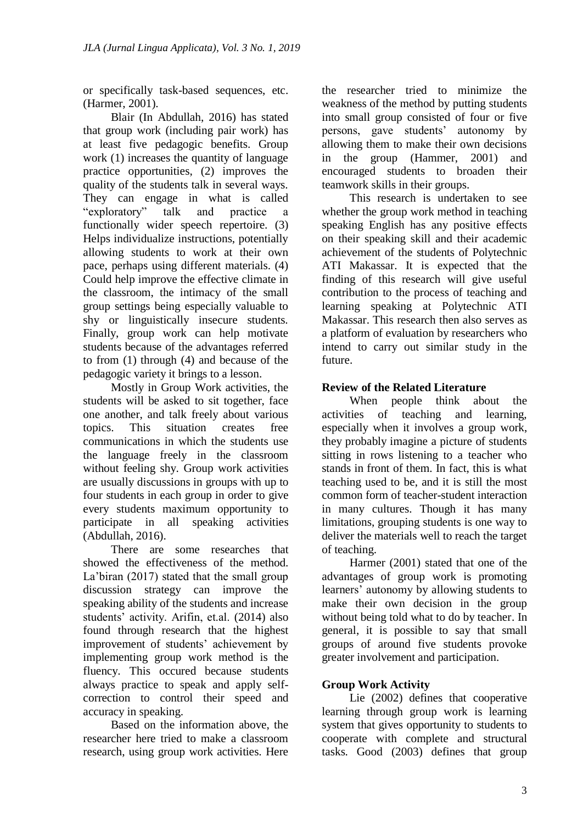or specifically task-based sequences, etc. (Harmer, 2001).

Blair (In Abdullah, 2016) has stated that group work (including pair work) has at least five pedagogic benefits. Group work (1) increases the quantity of language practice opportunities, (2) improves the quality of the students talk in several ways. They can engage in what is called "exploratory" talk and practice a functionally wider speech repertoire. (3) Helps individualize instructions, potentially allowing students to work at their own pace, perhaps using different materials. (4) Could help improve the effective climate in the classroom, the intimacy of the small group settings being especially valuable to shy or linguistically insecure students. Finally, group work can help motivate students because of the advantages referred to from (1) through (4) and because of the pedagogic variety it brings to a lesson.

Mostly in Group Work activities, the students will be asked to sit together, face one another, and talk freely about various topics. This situation creates free communications in which the students use the language freely in the classroom without feeling shy. Group work activities are usually discussions in groups with up to four students in each group in order to give every students maximum opportunity to participate in all speaking activities (Abdullah, 2016).

There are some researches that showed the effectiveness of the method. La'biran (2017) stated that the small group discussion strategy can improve the speaking ability of the students and increase students' activity. Arifin, et.al. (2014) also found through research that the highest improvement of students' achievement by implementing group work method is the fluency. This occured because students always practice to speak and apply selfcorrection to control their speed and accuracy in speaking.

Based on the information above, the researcher here tried to make a classroom research, using group work activities. Here

the researcher tried to minimize the weakness of the method by putting students into small group consisted of four or five persons, gave students' autonomy by allowing them to make their own decisions in the group (Hammer, 2001) and encouraged students to broaden their teamwork skills in their groups.

This research is undertaken to see whether the group work method in teaching speaking English has any positive effects on their speaking skill and their academic achievement of the students of Polytechnic ATI Makassar. It is expected that the finding of this research will give useful contribution to the process of teaching and learning speaking at Polytechnic ATI Makassar. This research then also serves as a platform of evaluation by researchers who intend to carry out similar study in the future.

# **Review of the Related Literature**

When people think about the activities of teaching and learning, especially when it involves a group work, they probably imagine a picture of students sitting in rows listening to a teacher who stands in front of them. In fact, this is what teaching used to be, and it is still the most common form of teacher-student interaction in many cultures. Though it has many limitations, grouping students is one way to deliver the materials well to reach the target of teaching.

Harmer (2001) stated that one of the advantages of group work is promoting learners' autonomy by allowing students to make their own decision in the group without being told what to do by teacher. In general, it is possible to say that small groups of around five students provoke greater involvement and participation.

# **Group Work Activity**

Lie (2002) defines that cooperative learning through group work is learning system that gives opportunity to students to cooperate with complete and structural tasks. Good (2003) defines that group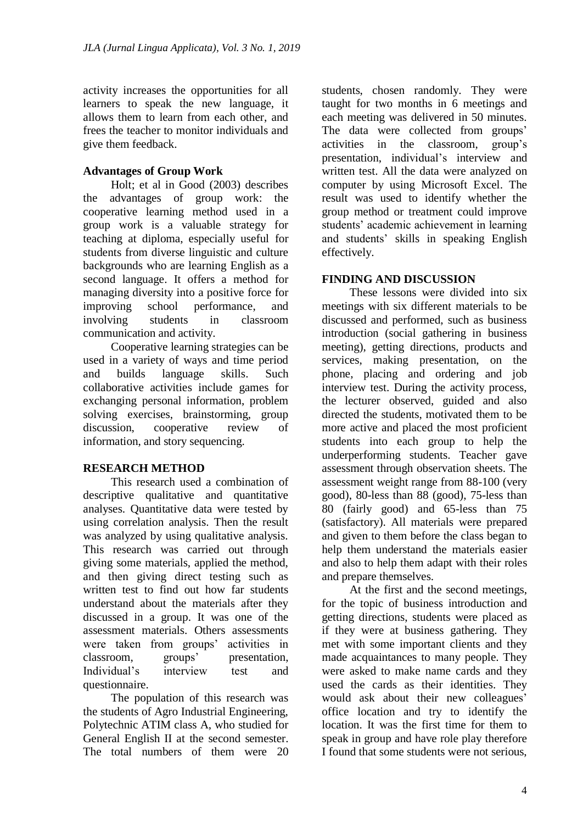activity increases the opportunities for all learners to speak the new language, it allows them to learn from each other, and frees the teacher to monitor individuals and give them feedback.

# **Advantages of Group Work**

Holt; et al in Good (2003) describes the advantages of group work: the cooperative learning method used in a group work is a valuable strategy for teaching at diploma, especially useful for students from diverse linguistic and culture backgrounds who are learning English as a second language. It offers a method for managing diversity into a positive force for improving school performance, and involving students in classroom communication and activity.

Cooperative learning strategies can be used in a variety of ways and time period and builds language skills. Such collaborative activities include games for exchanging personal information, problem solving exercises, brainstorming, group discussion, cooperative review of information, and story sequencing.

## **RESEARCH METHOD**

This research used a combination of descriptive qualitative and quantitative analyses. Quantitative data were tested by using correlation analysis. Then the result was analyzed by using qualitative analysis. This research was carried out through giving some materials, applied the method, and then giving direct testing such as written test to find out how far students understand about the materials after they discussed in a group. It was one of the assessment materials. Others assessments were taken from groups' activities in classroom, groups' presentation, Individual's interview test and questionnaire.

The population of this research was the students of Agro Industrial Engineering, Polytechnic ATIM class A, who studied for General English II at the second semester. The total numbers of them were 20

students, chosen randomly. They were taught for two months in 6 meetings and each meeting was delivered in 50 minutes. The data were collected from groups' activities in the classroom, group's presentation, individual's interview and written test. All the data were analyzed on computer by using Microsoft Excel. The result was used to identify whether the group method or treatment could improve students' academic achievement in learning and students' skills in speaking English effectively.

# **FINDING AND DISCUSSION**

These lessons were divided into six meetings with six different materials to be discussed and performed, such as business introduction (social gathering in business meeting), getting directions, products and services, making presentation, on the phone, placing and ordering and job interview test. During the activity process, the lecturer observed, guided and also directed the students, motivated them to be more active and placed the most proficient students into each group to help the underperforming students. Teacher gave assessment through observation sheets. The assessment weight range from 88-100 (very good), 80-less than 88 (good), 75-less than 80 (fairly good) and 65-less than 75 (satisfactory). All materials were prepared and given to them before the class began to help them understand the materials easier and also to help them adapt with their roles and prepare themselves.

At the first and the second meetings, for the topic of business introduction and getting directions, students were placed as if they were at business gathering. They met with some important clients and they made acquaintances to many people. They were asked to make name cards and they used the cards as their identities. They would ask about their new colleagues' office location and try to identify the location. It was the first time for them to speak in group and have role play therefore I found that some students were not serious,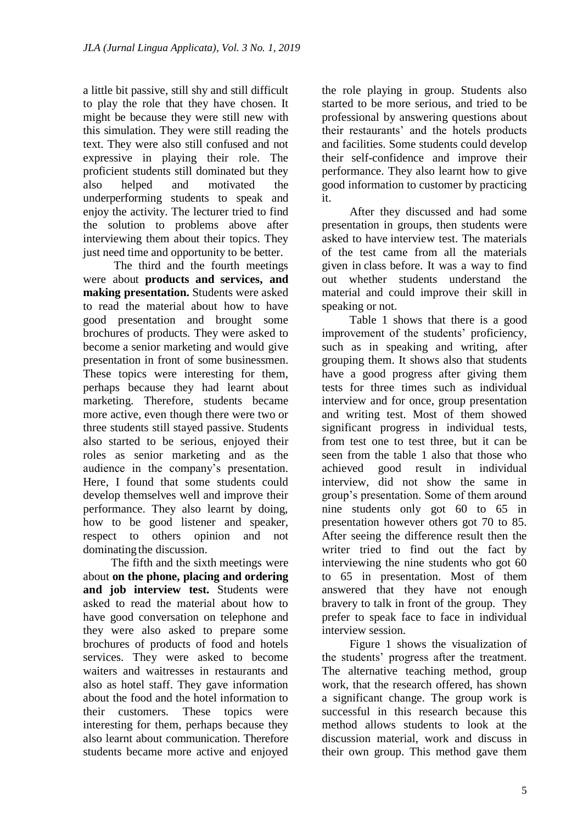a little bit passive, still shy and still difficult to play the role that they have chosen. It might be because they were still new with this simulation. They were still reading the text. They were also still confused and not expressive in playing their role. The proficient students still dominated but they also helped and motivated the underperforming students to speak and enjoy the activity. The lecturer tried to find the solution to problems above after interviewing them about their topics. They just need time and opportunity to be better.

The third and the fourth meetings were about **products and services, and making presentation.** Students were asked to read the material about how to have good presentation and brought some brochures of products. They were asked to become a senior marketing and would give presentation in front of some businessmen. These topics were interesting for them, perhaps because they had learnt about marketing. Therefore, students became more active, even though there were two or three students still stayed passive. Students also started to be serious, enjoyed their roles as senior marketing and as the audience in the company's presentation. Here, I found that some students could develop themselves well and improve their performance. They also learnt by doing, how to be good listener and speaker, respect to others opinion and not dominating the discussion.

The fifth and the sixth meetings were about **on the phone, placing and ordering and job interview test.** Students were asked to read the material about how to have good conversation on telephone and they were also asked to prepare some brochures of products of food and hotels services. They were asked to become waiters and waitresses in restaurants and also as hotel staff. They gave information about the food and the hotel information to their customers. These topics were interesting for them, perhaps because they also learnt about communication. Therefore students became more active and enjoyed

the role playing in group. Students also started to be more serious, and tried to be professional by answering questions about their restaurants' and the hotels products and facilities. Some students could develop their self-confidence and improve their performance. They also learnt how to give good information to customer by practicing it.

After they discussed and had some presentation in groups, then students were asked to have interview test. The materials of the test came from all the materials given in class before. It was a way to find out whether students understand the material and could improve their skill in speaking or not.

Table 1 shows that there is a good improvement of the students' proficiency, such as in speaking and writing, after grouping them. It shows also that students have a good progress after giving them tests for three times such as individual interview and for once, group presentation and writing test. Most of them showed significant progress in individual tests, from test one to test three, but it can be seen from the table 1 also that those who achieved good result in individual interview, did not show the same in group's presentation. Some of them around nine students only got 60 to 65 in presentation however others got 70 to 85. After seeing the difference result then the writer tried to find out the fact by interviewing the nine students who got 60 to 65 in presentation. Most of them answered that they have not enough bravery to talk in front of the group. They prefer to speak face to face in individual interview session.

Figure 1 shows the visualization of the students' progress after the treatment. The alternative teaching method, group work, that the research offered, has shown a significant change. The group work is successful in this research because this method allows students to look at the discussion material, work and discuss in their own group. This method gave them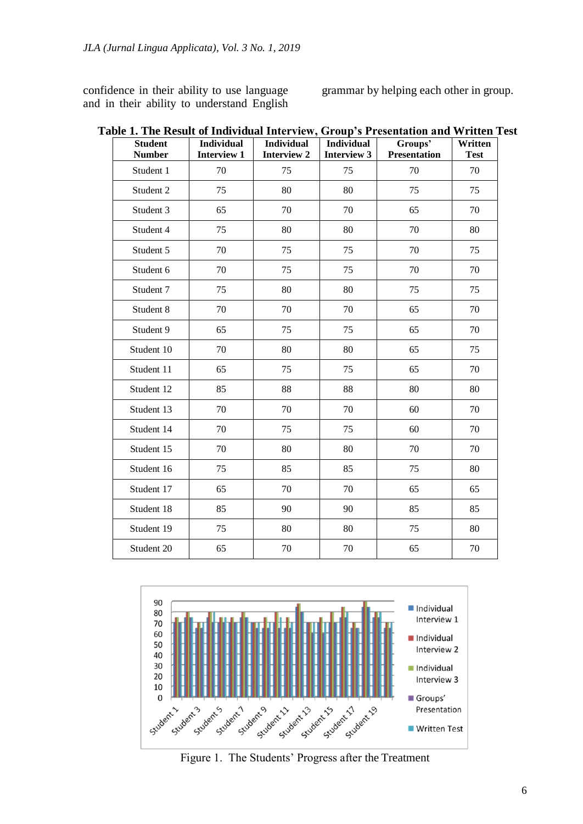confidence in their ability to use language and in their ability to understand English grammar by helping each other in group.

| <b>Student</b><br><b>Number</b> | <b>Individual</b><br><b>Interview 1</b> | <b>Individual</b><br><b>Interview 2</b> | <b>Individual</b><br><b>Interview 3</b> | Groups'<br><b>Presentation</b> | Written<br><b>Test</b> |
|---------------------------------|-----------------------------------------|-----------------------------------------|-----------------------------------------|--------------------------------|------------------------|
| Student 1                       | 70                                      | 75                                      | 75                                      | 70                             | 70                     |
| Student 2                       | 75                                      | 80                                      | 80                                      | 75                             | 75                     |
| Student 3                       | 65                                      | 70                                      | 70                                      | 65                             | 70                     |
| Student 4                       | 75                                      | 80                                      | 80                                      | 70                             | 80                     |
| Student 5                       | 70                                      | 75                                      | 75                                      | 70                             | 75                     |
| Student 6                       | 70                                      | 75                                      | 75                                      | 70                             | 70                     |
| Student 7                       | 75                                      | 80                                      | 80                                      | 75                             | 75                     |
| Student 8                       | 70                                      | 70                                      | 70                                      | 65                             | 70                     |
| Student 9                       | 65                                      | 75                                      | 75                                      | 65                             | 70                     |
| Student 10                      | 70                                      | 80                                      | 80                                      | 65                             | 75                     |
| Student 11                      | 65                                      | 75                                      | 75                                      | 65                             | 70                     |
| Student 12                      | 85                                      | 88                                      | 88                                      | 80                             | 80                     |
| Student 13                      | 70                                      | 70                                      | 70                                      | 60                             | 70                     |
| Student 14                      | 70                                      | 75                                      | 75                                      | 60                             | 70                     |
| Student 15                      | 70                                      | 80                                      | 80                                      | 70                             | 70                     |
| Student 16                      | 75                                      | 85                                      | 85                                      | 75                             | 80                     |
| Student 17                      | 65                                      | 70                                      | 70                                      | 65                             | 65                     |
| Student 18                      | 85                                      | 90                                      | 90                                      | 85                             | 85                     |
| Student 19                      | 75                                      | 80                                      | 80                                      | 75                             | 80                     |
| Student 20                      | 65                                      | 70                                      | 70                                      | 65                             | 70                     |

**Table 1. The Result of Individual Interview, Group's Presentation and Written Test**



Figure 1. The Students' Progress after the Treatment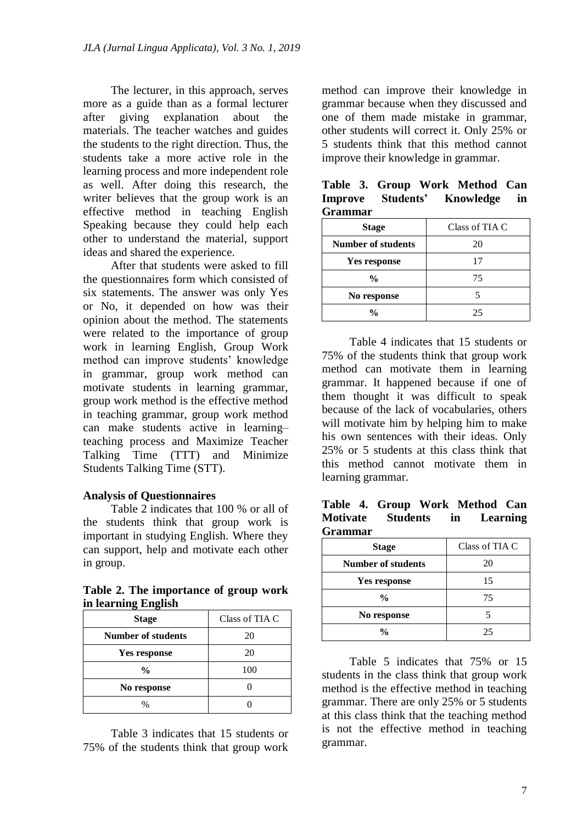The lecturer, in this approach, serves more as a guide than as a formal lecturer after giving explanation about the materials. The teacher watches and guides the students to the right direction. Thus, the students take a more active role in the learning process and more independent role as well. After doing this research, the writer believes that the group work is an effective method in teaching English Speaking because they could help each other to understand the material, support ideas and shared the experience.

After that students were asked to fill the questionnaires form which consisted of six statements. The answer was only Yes or No, it depended on how was their opinion about the method. The statements were related to the importance of group work in learning English, Group Work method can improve students' knowledge in grammar, group work method can motivate students in learning grammar, group work method is the effective method in teaching grammar, group work method can make students active in learning– teaching process and Maximize Teacher Talking Time (TTT) and Minimize Students Talking Time (STT).

## **Analysis of Questionnaires**

Table 2 indicates that 100 % or all of the students think that group work is important in studying English. Where they can support, help and motivate each other in group.

**Table 2. The importance of group work in learning English**

| <b>Stage</b>              | Class of TIA C |  |
|---------------------------|----------------|--|
| <b>Number of students</b> | 20             |  |
| Yes response              | 20             |  |
| $\frac{0}{0}$             | 100            |  |
| No response               |                |  |
| ℅                         |                |  |

Table 3 indicates that 15 students or 75% of the students think that group work

method can improve their knowledge in grammar because when they discussed and one of them made mistake in grammar, other students will correct it. Only 25% or 5 students think that this method cannot improve their knowledge in grammar.

| Grammar                   |                |  |
|---------------------------|----------------|--|
| <b>Stage</b>              | Class of TIA C |  |
| <b>Number of students</b> | 20             |  |
| Yes response              | 17             |  |
| $\frac{0}{0}$             | 75             |  |
| No response               |                |  |
| %                         | 25             |  |

**Table 3. Group Work Method Can Improve Students' Knowledge in Grammar**

Table 4 indicates that 15 students or 75% of the students think that group work method can motivate them in learning grammar. It happened because if one of them thought it was difficult to speak because of the lack of vocabularies, others will motivate him by helping him to make his own sentences with their ideas. Only 25% or 5 students at this class think that this method cannot motivate them in learning grammar.

#### **Table 4. Group Work Method Can Motivate Students in Learning Grammar**

| <b>Stage</b>              | Class of TIA C |  |
|---------------------------|----------------|--|
| <b>Number of students</b> | 20             |  |
| <b>Yes response</b>       | 15             |  |
| $\frac{0}{0}$             | 75             |  |
| No response               |                |  |
| %                         | 25             |  |

Table 5 indicates that 75% or 15 students in the class think that group work method is the effective method in teaching grammar. There are only 25% or 5 students at this class think that the teaching method is not the effective method in teaching grammar.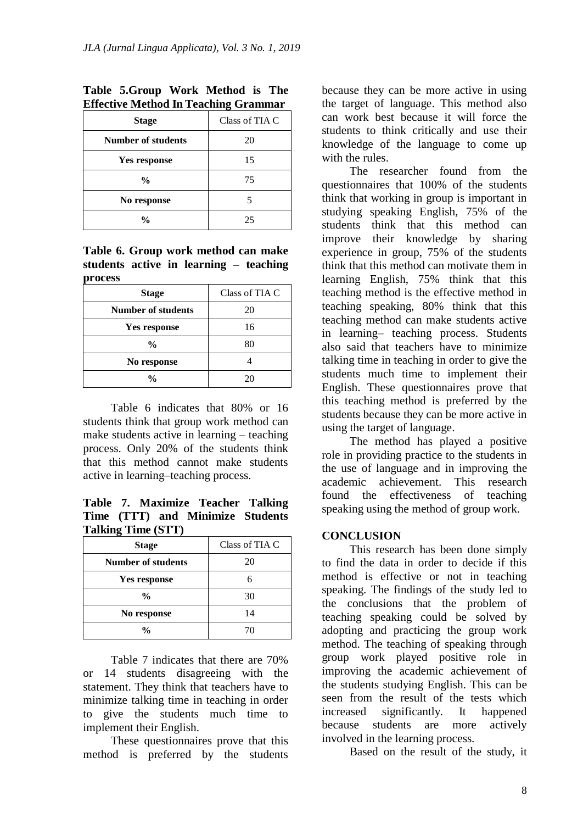| <b>Stage</b>              | Class of TIA C |  |
|---------------------------|----------------|--|
| <b>Number of students</b> | 20             |  |
| <b>Yes response</b>       | 15             |  |
| $\frac{0}{0}$             | 75             |  |
| No response               |                |  |
| $\frac{0}{0}$             | 25             |  |

# **Table 5.Group Work Method is The Effective Method In Teaching Grammar**

#### **Table 6. Group work method can make students active in learning – teaching process**

| <b>Stage</b>              | Class of TIA C |  |
|---------------------------|----------------|--|
| <b>Number of students</b> | 20             |  |
| <b>Yes response</b>       | 16             |  |
| $\frac{0}{0}$             | 80             |  |
| No response               |                |  |
| $\frac{0}{0}$             | 20             |  |

Table 6 indicates that 80% or 16 students think that group work method can make students active in learning – teaching process. Only 20% of the students think that this method cannot make students active in learning–teaching process.

**Table 7. Maximize Teacher Talking Time (TTT) and Minimize Students Talking Time (STT)**

| <b>Stage</b>              | Class of TIA C |  |
|---------------------------|----------------|--|
| <b>Number of students</b> | 20             |  |
| <b>Yes response</b>       |                |  |
| $\frac{0}{0}$             | 30             |  |
| No response               | 14             |  |
| $\frac{0}{0}$             |                |  |

Table 7 indicates that there are 70% or 14 students disagreeing with the statement. They think that teachers have to minimize talking time in teaching in order to give the students much time to implement their English.

These questionnaires prove that this method is preferred by the students because they can be more active in using the target of language. This method also can work best because it will force the students to think critically and use their knowledge of the language to come up with the rules.

The researcher found from the questionnaires that 100% of the students think that working in group is important in studying speaking English, 75% of the students think that this method can improve their knowledge by sharing experience in group, 75% of the students think that this method can motivate them in learning English, 75% think that this teaching method is the effective method in teaching speaking, 80% think that this teaching method can make students active in learning– teaching process. Students also said that teachers have to minimize talking time in teaching in order to give the students much time to implement their English. These questionnaires prove that this teaching method is preferred by the students because they can be more active in using the target of language.

The method has played a positive role in providing practice to the students in the use of language and in improving the academic achievement. This research found the effectiveness of teaching speaking using the method of group work.

## **CONCLUSION**

This research has been done simply to find the data in order to decide if this method is effective or not in teaching speaking. The findings of the study led to the conclusions that the problem of teaching speaking could be solved by adopting and practicing the group work method. The teaching of speaking through group work played positive role in improving the academic achievement of the students studying English. This can be seen from the result of the tests which increased significantly. It happened because students are more actively involved in the learning process.

Based on the result of the study, it